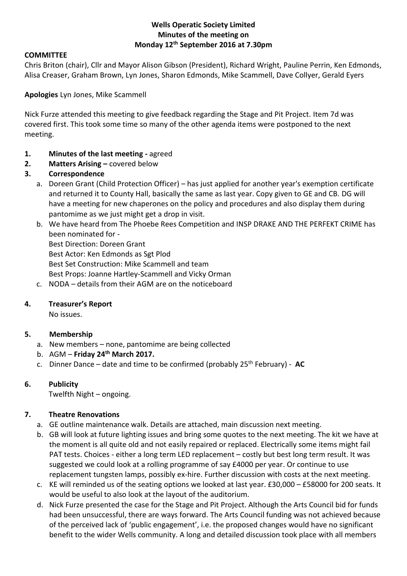## **Wells Operatic Society Limited Minutes of the meeting on Monday 12th September 2016 at 7.30pm**

## **COMMITTEE**

Chris Briton (chair), Cllr and Mayor Alison Gibson (President), Richard Wright, Pauline Perrin, Ken Edmonds, Alisa Creaser, Graham Brown, Lyn Jones, Sharon Edmonds, Mike Scammell, Dave Collyer, Gerald Eyers

**Apologies** Lyn Jones, Mike Scammell

Nick Furze attended this meeting to give feedback regarding the Stage and Pit Project. Item 7d was covered first. This took some time so many of the other agenda items were postponed to the next meeting.

- **1. Minutes of the last meeting -** agreed
- **2. Matters Arising –** covered below
- **3. Correspondence**
	- a. Doreen Grant (Child Protection Officer) has just applied for another year's exemption certificate and returned it to County Hall, basically the same as last year. Copy given to GE and CB. DG will have a meeting for new chaperones on the policy and procedures and also display them during pantomime as we just might get a drop in visit.
	- b. We have heard from The Phoebe Rees Competition and INSP DRAKE AND THE PERFEKT CRIME has been nominated for -

Best Direction: Doreen Grant Best Actor: Ken Edmonds as Sgt Plod Best Set Construction: Mike Scammell and team Best Props: Joanne Hartley-Scammell and Vicky Orman

c. NODA – details from their AGM are on the noticeboard

# **4. Treasurer's Report**

No issues.

# **5. Membership**

- a. New members none, pantomime are being collected
- b. AGM **Friday 24th March 2017.**
- c. Dinner Dance date and time to be confirmed (probably 25th February) **AC**

## **6. Publicity**

Twelfth Night – ongoing.

# **7. Theatre Renovations**

- a. GE outline maintenance walk. Details are attached, main discussion next meeting.
- b. GB will look at future lighting issues and bring some quotes to the next meeting. The kit we have at the moment is all quite old and not easily repaired or replaced. Electrically some items might fail PAT tests. Choices - either a long term LED replacement – costly but best long term result. It was suggested we could look at a rolling programme of say £4000 per year. Or continue to use replacement tungsten lamps, possibly ex-hire. Further discussion with costs at the next meeting.
- c. KE will reminded us of the seating options we looked at last year. £30,000 £58000 for 200 seats. It would be useful to also look at the layout of the auditorium.
- d. Nick Furze presented the case for the Stage and Pit Project. Although the Arts Council bid for funds had been unsuccessful, there are ways forward. The Arts Council funding was not achieved because of the perceived lack of 'public engagement', i.e. the proposed changes would have no significant benefit to the wider Wells community. A long and detailed discussion took place with all members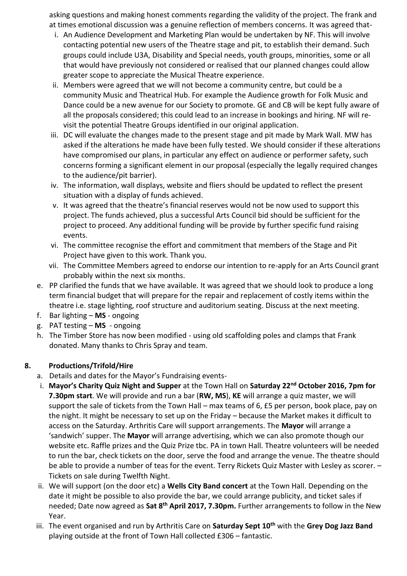asking questions and making honest comments regarding the validity of the project. The frank and at times emotional discussion was a genuine reflection of members concerns. It was agreed that-

- i. An Audience Development and Marketing Plan would be undertaken by NF. This will involve contacting potential new users of the Theatre stage and pit, to establish their demand. Such groups could include U3A, Disability and Special needs, youth groups, minorities, some or all that would have previously not considered or realised that our planned changes could allow greater scope to appreciate the Musical Theatre experience.
- ii. Members were agreed that we will not become a community centre, but could be a community Music and Theatrical Hub. For example the Audience growth for Folk Music and Dance could be a new avenue for our Society to promote. GE and CB will be kept fully aware of all the proposals considered; this could lead to an increase in bookings and hiring. NF will revisit the potential Theatre Groups identified in our original application.
- iii. DC will evaluate the changes made to the present stage and pit made by Mark Wall. MW has asked if the alterations he made have been fully tested. We should consider if these alterations have compromised our plans, in particular any effect on audience or performer safety, such concerns forming a significant element in our proposal (especially the legally required changes to the audience/pit barrier).
- iv. The information, wall displays, website and fliers should be updated to reflect the present situation with a display of funds achieved.
- v. It was agreed that the theatre's financial reserves would not be now used to support this project. The funds achieved, plus a successful Arts Council bid should be sufficient for the project to proceed. Any additional funding will be provide by further specific fund raising events.
- vi. The committee recognise the effort and commitment that members of the Stage and Pit Project have given to this work. Thank you.
- vii. The Committee Members agreed to endorse our intention to re-apply for an Arts Council grant probably within the next six months.
- e. PP clarified the funds that we have available. It was agreed that we should look to produce a long term financial budget that will prepare for the repair and replacement of costly items within the theatre i.e. stage lighting, roof structure and auditorium seating. Discuss at the next meeting.
- f. Bar lighting **MS** ongoing
- g. PAT testing **MS** ongoing
- h. The Timber Store has now been modified using old scaffolding poles and clamps that Frank donated. Many thanks to Chris Spray and team.

# **8. Productions/Trifold/Hire**

- a. Details and dates for the Mayor's Fundraising events-
- i. **Mayor's Charity Quiz Night and Supper** at the Town Hall on **Saturday 22nd October 2016, 7pm for 7.30pm start**. We will provide and run a bar (**RW, MS**), **KE** will arrange a quiz master, we will support the sale of tickets from the Town Hall – max teams of 6, £5 per person, book place, pay on the night. It might be necessary to set up on the Friday – because the Market makes it difficult to access on the Saturday. Arthritis Care will support arrangements. The **Mayor** will arrange a 'sandwich' supper. The **Mayor** will arrange advertising, which we can also promote though our website etc. Raffle prizes and the Quiz Prize tbc. PA in town Hall. Theatre volunteers will be needed to run the bar, check tickets on the door, serve the food and arrange the venue. The theatre should be able to provide a number of teas for the event. Terry Rickets Quiz Master with Lesley as scorer. – Tickets on sale during Twelfth Night.
- ii. We will support (on the door etc) a **Wells City Band concert** at the Town Hall. Depending on the date it might be possible to also provide the bar, we could arrange publicity, and ticket sales if needed; Date now agreed as **Sat 8th April 2017, 7.30pm.** Further arrangements to follow in the New Year.
- iii. The event organised and run by Arthritis Care on **Saturday Sept 10th** with the **Grey Dog Jazz Band** playing outside at the front of Town Hall collected £306 – fantastic.